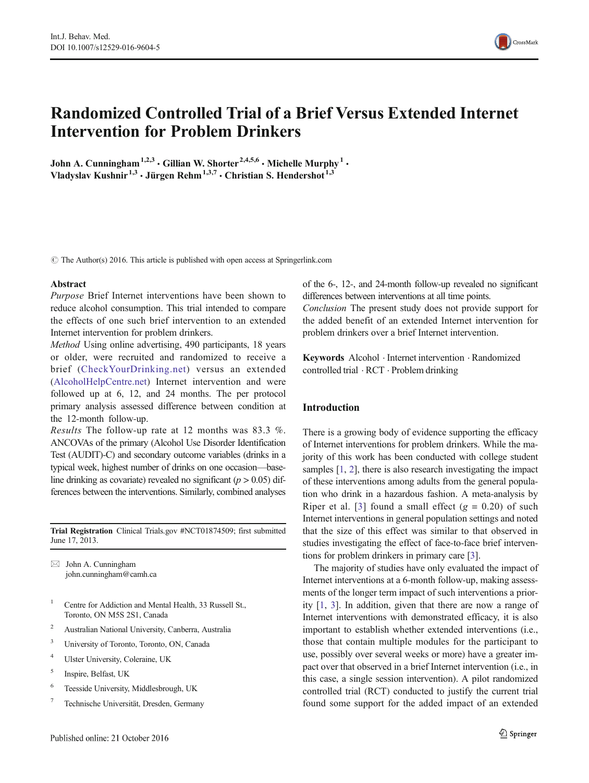# Randomized Controlled Trial of a Brief Versus Extended Internet Intervention for Problem Drinkers

John A. Cunningham<sup>1,2,3</sup>  $\cdot$  Gillian W. Shorter<sup>2,4,5,6</sup>  $\cdot$  Michelle Murphy<sup>1</sup>  $\cdot$ Vladyslav Kushnir<sup>1,3</sup> · Jürgen Rehm<sup>1,3,7</sup> · Christian S. Hendershot<sup>1,3</sup>

 $\odot$  The Author(s) 2016. This article is published with open access at Springerlink.com

#### Abstract

Purpose Brief Internet interventions have been shown to reduce alcohol consumption. This trial intended to compare the effects of one such brief intervention to an extended Internet intervention for problem drinkers.

Method Using online advertising, 490 participants, 18 years or older, were recruited and randomized to receive a brief ([CheckYourDrinking.net\)](http://checkyourdrinking.net) versus an extended [\(AlcoholHelpCentre.net\)](http://alcoholhelpcentre.net) Internet intervention and were followed up at 6, 12, and 24 months. The per protocol primary analysis assessed difference between condition at the 12-month follow-up.

Results The follow-up rate at 12 months was 83.3 %. ANCOVAs of the primary (Alcohol Use Disorder Identification Test (AUDIT)-C) and secondary outcome variables (drinks in a typical week, highest number of drinks on one occasion—baseline drinking as covariate) revealed no significant ( $p > 0.05$ ) differences between the interventions. Similarly, combined analyses

Trial Registration Clinical Trials.gov #NCT01874509; first submitted June 17, 2013.

 $\boxtimes$  John A. Cunningham john.cunningham@camh.ca

- <sup>1</sup> Centre for Addiction and Mental Health, 33 Russell St., Toronto, ON M5S 2S1, Canada
- <sup>2</sup> Australian National University, Canberra, Australia
- <sup>3</sup> University of Toronto, Toronto, ON, Canada
- <sup>4</sup> Ulster University, Coleraine, UK
- <sup>5</sup> Inspire, Belfast, UK
- <sup>6</sup> Teesside University, Middlesbrough, UK
- <sup>7</sup> Technische Universität, Dresden, Germany

of the 6-, 12-, and 24-month follow-up revealed no significant differences between interventions at all time points.

Conclusion The present study does not provide support for the added benefit of an extended Internet intervention for problem drinkers over a brief Internet intervention.

Keywords Alcohol . Internet intervention . Randomized controlled trial . RCT . Problem drinking

#### Introduction

There is a growing body of evidence supporting the efficacy of Internet interventions for problem drinkers. While the majority of this work has been conducted with college student samples [\[1](#page-6-0), [2](#page-7-0)], there is also research investigating the impact of these interventions among adults from the general population who drink in a hazardous fashion. A meta-analysis by Riper et al. [[3](#page-7-0)] found a small effect  $(g = 0.20)$  of such Internet interventions in general population settings and noted that the size of this effect was similar to that observed in studies investigating the effect of face-to-face brief interventions for problem drinkers in primary care [[3\]](#page-7-0).

The majority of studies have only evaluated the impact of Internet interventions at a 6-month follow-up, making assessments of the longer term impact of such interventions a priority [\[1](#page-6-0), [3](#page-7-0)]. In addition, given that there are now a range of Internet interventions with demonstrated efficacy, it is also important to establish whether extended interventions (i.e., those that contain multiple modules for the participant to use, possibly over several weeks or more) have a greater impact over that observed in a brief Internet intervention (i.e., in this case, a single session intervention). A pilot randomized controlled trial (RCT) conducted to justify the current trial found some support for the added impact of an extended

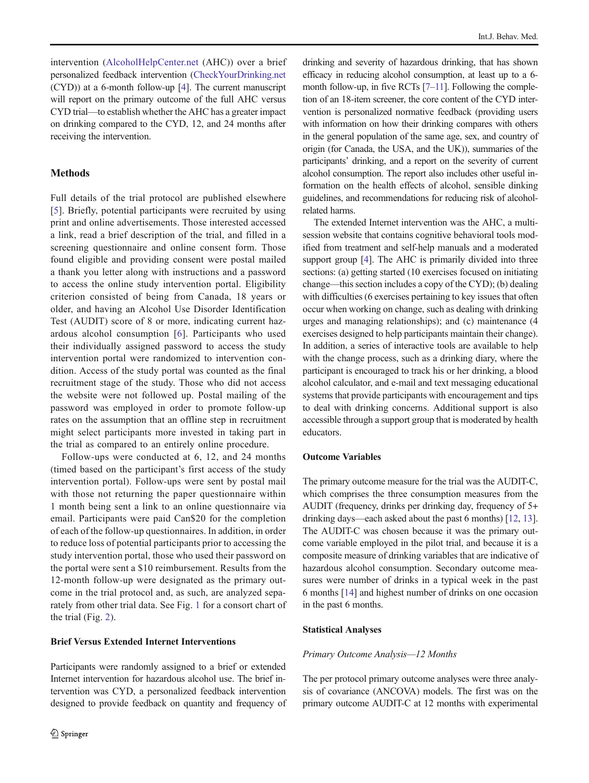intervention [\(AlcoholHelpCenter.net](http://alcoholhelpcenter.net) (AHC)) over a brief personalized feedback intervention ([CheckYourDrinking.net](http://checkyourdrinking.net) (CYD)) at a 6-month follow-up [\[4](#page-7-0)]. The current manuscript will report on the primary outcome of the full AHC versus CYD trial—to establish whether the AHC has a greater impact on drinking compared to the CYD, 12, and 24 months after receiving the intervention.

# **Methods**

Full details of the trial protocol are published elsewhere [\[5](#page-7-0)]. Briefly, potential participants were recruited by using print and online advertisements. Those interested accessed a link, read a brief description of the trial, and filled in a screening questionnaire and online consent form. Those found eligible and providing consent were postal mailed a thank you letter along with instructions and a password to access the online study intervention portal. Eligibility criterion consisted of being from Canada, 18 years or older, and having an Alcohol Use Disorder Identification Test (AUDIT) score of 8 or more, indicating current hazardous alcohol consumption [[6](#page-7-0)]. Participants who used their individually assigned password to access the study intervention portal were randomized to intervention condition. Access of the study portal was counted as the final recruitment stage of the study. Those who did not access the website were not followed up. Postal mailing of the password was employed in order to promote follow-up rates on the assumption that an offline step in recruitment might select participants more invested in taking part in the trial as compared to an entirely online procedure.

Follow-ups were conducted at 6, 12, and 24 months (timed based on the participant's first access of the study intervention portal). Follow-ups were sent by postal mail with those not returning the paper questionnaire within 1 month being sent a link to an online questionnaire via email. Participants were paid Can\$20 for the completion of each of the follow-up questionnaires. In addition, in order to reduce loss of potential participants prior to accessing the study intervention portal, those who used their password on the portal were sent a \$10 reimbursement. Results from the 12-month follow-up were designated as the primary outcome in the trial protocol and, as such, are analyzed separately from other trial data. See Fig. [1](#page-2-0) for a consort chart of the trial (Fig. [2\)](#page-3-0).

### Brief Versus Extended Internet Interventions

Participants were randomly assigned to a brief or extended Internet intervention for hazardous alcohol use. The brief intervention was CYD, a personalized feedback intervention designed to provide feedback on quantity and frequency of

drinking and severity of hazardous drinking, that has shown efficacy in reducing alcohol consumption, at least up to a 6 month follow-up, in five RCTs [\[7](#page-7-0)–[11](#page-7-0)]. Following the completion of an 18-item screener, the core content of the CYD intervention is personalized normative feedback (providing users with information on how their drinking compares with others in the general population of the same age, sex, and country of origin (for Canada, the USA, and the UK)), summaries of the participants' drinking, and a report on the severity of current alcohol consumption. The report also includes other useful information on the health effects of alcohol, sensible dinking guidelines, and recommendations for reducing risk of alcoholrelated harms.

The extended Internet intervention was the AHC, a multisession website that contains cognitive behavioral tools modified from treatment and self-help manuals and a moderated support group [\[4\]](#page-7-0). The AHC is primarily divided into three sections: (a) getting started (10 exercises focused on initiating change—this section includes a copy of the CYD); (b) dealing with difficulties (6 exercises pertaining to key issues that often occur when working on change, such as dealing with drinking urges and managing relationships); and (c) maintenance (4 exercises designed to help participants maintain their change). In addition, a series of interactive tools are available to help with the change process, such as a drinking diary, where the participant is encouraged to track his or her drinking, a blood alcohol calculator, and e-mail and text messaging educational systems that provide participants with encouragement and tips to deal with drinking concerns. Additional support is also accessible through a support group that is moderated by health educators.

## Outcome Variables

The primary outcome measure for the trial was the AUDIT-C, which comprises the three consumption measures from the AUDIT (frequency, drinks per drinking day, frequency of 5+ drinking days—each asked about the past 6 months) [\[12](#page-7-0), [13\]](#page-7-0). The AUDIT-C was chosen because it was the primary outcome variable employed in the pilot trial, and because it is a composite measure of drinking variables that are indicative of hazardous alcohol consumption. Secondary outcome measures were number of drinks in a typical week in the past 6 months [\[14\]](#page-7-0) and highest number of drinks on one occasion in the past 6 months.

#### Statistical Analyses

#### Primary Outcome Analysis—12 Months

The per protocol primary outcome analyses were three analysis of covariance (ANCOVA) models. The first was on the primary outcome AUDIT-C at 12 months with experimental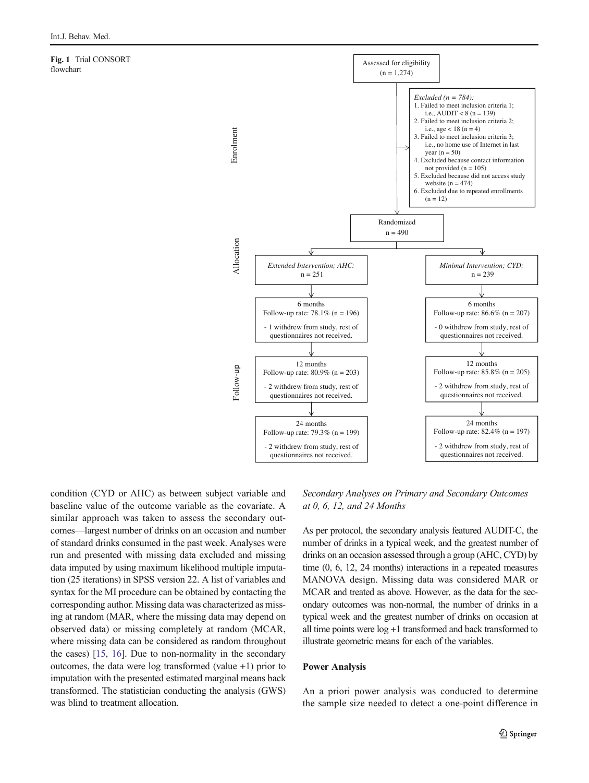<span id="page-2-0"></span>Fig. 1 Trial CONSORT flowchart



condition (CYD or AHC) as between subject variable and baseline value of the outcome variable as the covariate. A similar approach was taken to assess the secondary outcomes—largest number of drinks on an occasion and number of standard drinks consumed in the past week. Analyses were run and presented with missing data excluded and missing data imputed by using maximum likelihood multiple imputation (25 iterations) in SPSS version 22. A list of variables and syntax for the MI procedure can be obtained by contacting the corresponding author. Missing data was characterized as missing at random (MAR, where the missing data may depend on observed data) or missing completely at random (MCAR, where missing data can be considered as random throughout the cases) [\[15,](#page-7-0) [16\]](#page-7-0). Due to non-normality in the secondary outcomes, the data were log transformed (value +1) prior to imputation with the presented estimated marginal means back transformed. The statistician conducting the analysis (GWS) was blind to treatment allocation.

Secondary Analyses on Primary and Secondary Outcomes at 0, 6, 12, and 24 Months

As per protocol, the secondary analysis featured AUDIT-C, the number of drinks in a typical week, and the greatest number of drinks on an occasion assessed through a group (AHC, CYD) by time (0, 6, 12, 24 months) interactions in a repeated measures MANOVA design. Missing data was considered MAR or MCAR and treated as above. However, as the data for the secondary outcomes was non-normal, the number of drinks in a typical week and the greatest number of drinks on occasion at all time points were log +1 transformed and back transformed to illustrate geometric means for each of the variables.

### Power Analysis

An a priori power analysis was conducted to determine the sample size needed to detect a one-point difference in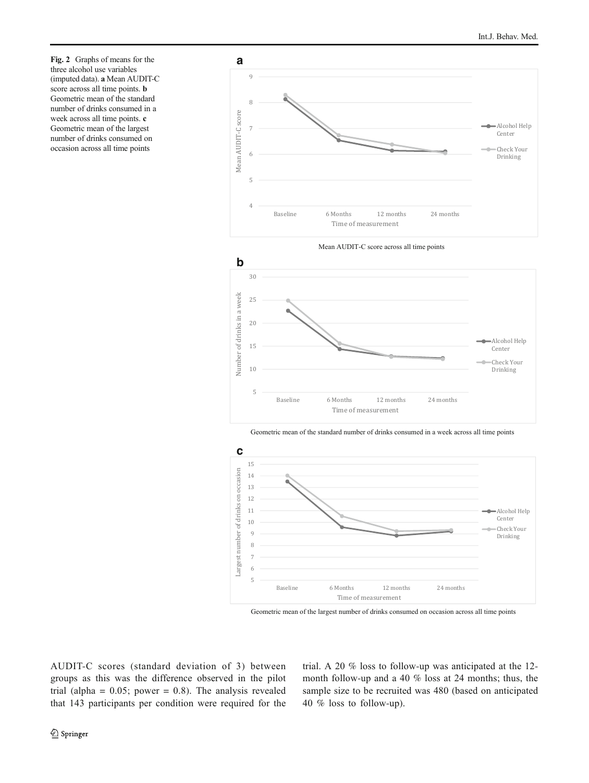<span id="page-3-0"></span>Fig. 2 Graphs of means for the three alcohol use variables (imputed data). a Mean AUDIT-C score across all time points. b Geometric mean of the standard number of drinks consumed in a week across all time points. c Geometric mean of the largest number of drinks consumed on occasion across all time points





Geometric mean of the standard number of drinks consumed in a week across all time points



Geometric mean of the largest number of drinks consumed on occasion across all time points

AUDIT-C scores (standard deviation of 3) between groups as this was the difference observed in the pilot trial (alpha =  $0.05$ ; power = 0.8). The analysis revealed that 143 participants per condition were required for the trial. A 20 % loss to follow-up was anticipated at the 12 month follow-up and a 40 % loss at 24 months; thus, the sample size to be recruited was 480 (based on anticipated 40 % loss to follow-up).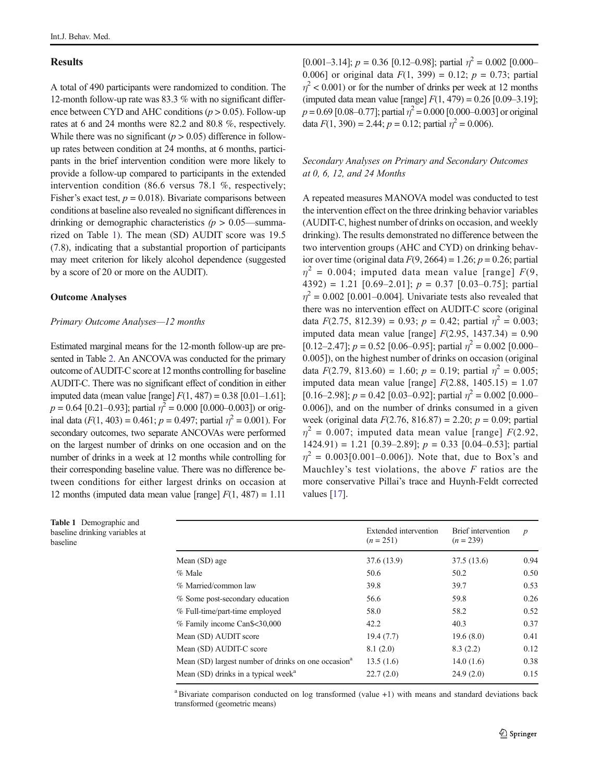## **Results**

A total of 490 participants were randomized to condition. The 12-month follow-up rate was 83.3 % with no significant difference between CYD and AHC conditions  $(p > 0.05)$ . Follow-up rates at 6 and 24 months were 82.2 and 80.8 %, respectively. While there was no significant  $(p > 0.05)$  difference in followup rates between condition at 24 months, at 6 months, participants in the brief intervention condition were more likely to provide a follow-up compared to participants in the extended intervention condition (86.6 versus 78.1 %, respectively; Fisher's exact test,  $p = 0.018$ ). Bivariate comparisons between conditions at baseline also revealed no significant differences in drinking or demographic characteristics  $(p > 0.05$ —summarized on Table 1). The mean (SD) AUDIT score was 19.5 (7.8), indicating that a substantial proportion of participants may meet criterion for likely alcohol dependence (suggested by a score of 20 or more on the AUDIT).

## Outcome Analyses

#### Primary Outcome Analyses—12 months

Estimated marginal means for the 12-month follow-up are presented in Table [2.](#page-5-0) An ANCOVA was conducted for the primary outcome of AUDIT-C score at 12 months controlling for baseline AUDIT-C. There was no significant effect of condition in either imputed data (mean value [range]  $F(1, 487) = 0.38$  [0.01–1.61];  $p = 0.64$  [0.21–0.93]; partial  $\eta^2 = 0.000$  [0.000–0.003]) or original data ( $F(1, 403) = 0.461$ ;  $p = 0.497$ ; partial  $\eta^2 = 0.001$ ). For secondary outcomes, two separate ANCOVAs were performed on the largest number of drinks on one occasion and on the number of drinks in a week at 12 months while controlling for their corresponding baseline value. There was no difference between conditions for either largest drinks on occasion at 12 months (imputed data mean value [range]  $F(1, 487) = 1.11$ 

Table 1 Demographic and baseline drinking variables at baseline

# Secondary Analyses on Primary and Secondary Outcomes at 0, 6, 12, and 24 Months

A repeated measures MANOVA model was conducted to test the intervention effect on the three drinking behavior variables (AUDIT-C, highest number of drinks on occasion, and weekly drinking). The results demonstrated no difference between the two intervention groups (AHC and CYD) on drinking behavior over time (original data  $F(9, 2664) = 1.26$ ;  $p = 0.26$ ; partial  $\eta^2$  = 0.004; imputed data mean value [range]  $F(9, 1)$ 4392) = 1.21 [0.69-2.01];  $p = 0.37$  [0.03-0.75]; partial  $\eta^2$  = 0.002 [0.001–0.004]. Univariate tests also revealed that there was no intervention effect on AUDIT-C score (original data  $F(2.75, 812.39) = 0.93$ ;  $p = 0.42$ ; partial  $\eta^2 = 0.003$ ; imputed data mean value [range]  $F(2.95, 1437.34) = 0.90$  $[0.12-2.47]$ ;  $p = 0.52$   $[0.06-0.95]$ ; partial  $\eta^2 = 0.002$   $[0.000-0.95]$ 0.005]), on the highest number of drinks on occasion (original data  $F(2.79, 813.60) = 1.60$ ;  $p = 0.19$ ; partial  $\eta^2 = 0.005$ ; imputed data mean value [range]  $F(2.88, 1405.15) = 1.07$ [0.16–2.98];  $p = 0.42$  [0.03–0.92]; partial  $\eta^2 = 0.002$  [0.000– 0.006]), and on the number of drinks consumed in a given week (original data  $F(2.76, 816.87) = 2.20$ ;  $p = 0.09$ ; partial  $\eta^2$  = 0.007; imputed data mean value [range] F(2.92, 1424.91) = 1.21 [0.39-2.89];  $p = 0.33$  [0.04-0.53]; partial  $\eta^2 = 0.003[0.001-0.006]$ . Note that, due to Box's and Mauchley's test violations, the above  $F$  ratios are the more conservative Pillai's trace and Huynh-Feldt corrected values [[17](#page-7-0)].

|                                                                 | Extended intervention<br>$(n = 251)$ | Brief intervention<br>$(n = 239)$ | $\boldsymbol{p}$ |
|-----------------------------------------------------------------|--------------------------------------|-----------------------------------|------------------|
| Mean (SD) age                                                   | 37.6 (13.9)                          | 37.5(13.6)                        | 0.94             |
| $%$ Male                                                        | 50.6                                 | 50.2                              | 0.50             |
| % Married/common law                                            | 39.8                                 | 39.7                              | 0.53             |
| % Some post-secondary education                                 | 56.6                                 | 59.8                              | 0.26             |
| % Full-time/part-time employed                                  | 58.0                                 | 58.2                              | 0.52             |
| % Family income Can\$<30,000                                    | 42.2                                 | 40.3                              | 0.37             |
| Mean (SD) AUDIT score                                           | 19.4(7.7)                            | 19.6(8.0)                         | 0.41             |
| Mean (SD) AUDIT-C score                                         | 8.1(2.0)                             | 8.3(2.2)                          | 0.12             |
| Mean (SD) largest number of drinks on one occasion <sup>a</sup> | 13.5(1.6)                            | 14.0(1.6)                         | 0.38             |
| Mean (SD) drinks in a typical week <sup>a</sup>                 | 22.7(2.0)                            | 24.9(2.0)                         | 0.15             |

 $a$ Bivariate comparison conducted on log transformed (value  $+1$ ) with means and standard deviations back transformed (geometric means)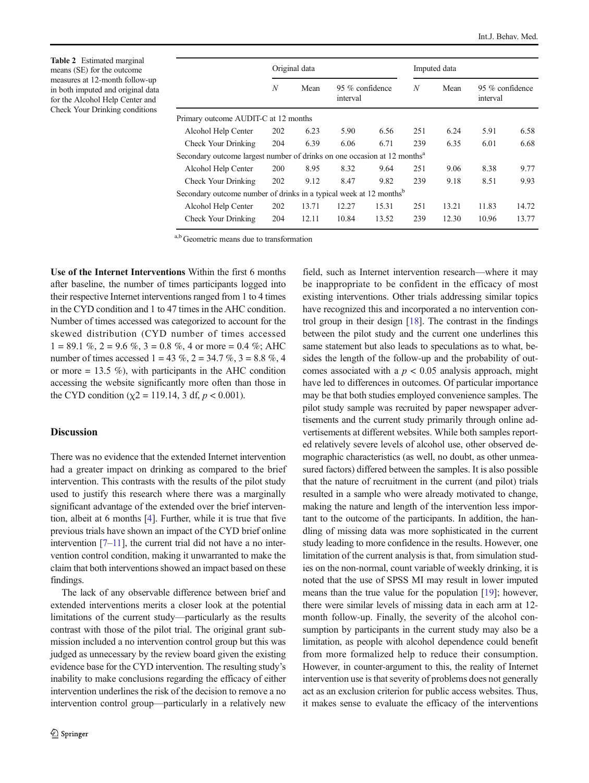<span id="page-5-0"></span>Table 2 Estimated marginal means (SE) for the outcome measures at 12-month follow-up in both imputed and original data for the Alcohol Help Center and Check Your Drinking conditions

|                                                                                      |                  | Original data |          |                 |     | Imputed data |                             |       |
|--------------------------------------------------------------------------------------|------------------|---------------|----------|-----------------|-----|--------------|-----------------------------|-------|
|                                                                                      | $\boldsymbol{N}$ | Mean          | interval | 95 % confidence |     | Mean         | 95 % confidence<br>interval |       |
| Primary outcome AUDIT-C at 12 months                                                 |                  |               |          |                 |     |              |                             |       |
| Alcohol Help Center                                                                  | 202              | 6.23          | 5.90     | 6.56            | 251 | 6.24         | 5.91                        | 6.58  |
| Check Your Drinking                                                                  | 204              | 6.39          | 6.06     | 6.71            | 239 | 6.35         | 6.01                        | 6.68  |
| Secondary outcome largest number of drinks on one occasion at 12 months <sup>a</sup> |                  |               |          |                 |     |              |                             |       |
| Alcohol Help Center                                                                  | 200              | 8.95          | 8.32     | 9.64            | 251 | 9.06         | 8.38                        | 9.77  |
| Check Your Drinking                                                                  | 202              | 9.12          | 8.47     | 9.82            | 239 | 9.18         | 8.51                        | 9.93  |
| Secondary outcome number of drinks in a typical week at 12 months <sup>b</sup>       |                  |               |          |                 |     |              |                             |       |
| Alcohol Help Center                                                                  | 202              | 13.71         | 12.27    | 15.31           | 251 | 13.21        | 11.83                       | 14.72 |
| Check Your Drinking                                                                  | 204              | 12.11         | 10.84    | 13.52           | 239 | 12.30        | 10.96                       | 13.77 |

a,b Geometric means due to transformation

Use of the Internet Interventions Within the first 6 months after baseline, the number of times participants logged into their respective Internet interventions ranged from 1 to 4 times in the CYD condition and 1 to 47 times in the AHC condition. Number of times accessed was categorized to account for the skewed distribution (CYD number of times accessed  $1 = 89.1\%$ ,  $2 = 9.6\%$ ,  $3 = 0.8\%$ , 4 or more = 0.4 %; AHC number of times accessed  $1 = 43 \%$ ,  $2 = 34.7 \%$ ,  $3 = 8.8 \%$ , 4 or more  $= 13.5$  %), with participants in the AHC condition accessing the website significantly more often than those in the CYD condition ( $\chi$ 2 = 119.14, 3 df,  $p < 0.001$ ).

## Discussion

There was no evidence that the extended Internet intervention had a greater impact on drinking as compared to the brief intervention. This contrasts with the results of the pilot study used to justify this research where there was a marginally significant advantage of the extended over the brief intervention, albeit at 6 months [\[4\]](#page-7-0). Further, while it is true that five previous trials have shown an impact of the CYD brief online intervention  $[7-11]$  $[7-11]$  $[7-11]$  $[7-11]$  $[7-11]$ , the current trial did not have a no intervention control condition, making it unwarranted to make the claim that both interventions showed an impact based on these findings.

The lack of any observable difference between brief and extended interventions merits a closer look at the potential limitations of the current study—particularly as the results contrast with those of the pilot trial. The original grant submission included a no intervention control group but this was judged as unnecessary by the review board given the existing evidence base for the CYD intervention. The resulting study's inability to make conclusions regarding the efficacy of either intervention underlines the risk of the decision to remove a no intervention control group—particularly in a relatively new field, such as Internet intervention research—where it may be inappropriate to be confident in the efficacy of most existing interventions. Other trials addressing similar topics have recognized this and incorporated a no intervention control group in their design [\[18\]](#page-7-0). The contrast in the findings between the pilot study and the current one underlines this same statement but also leads to speculations as to what, besides the length of the follow-up and the probability of outcomes associated with a  $p < 0.05$  analysis approach, might have led to differences in outcomes. Of particular importance may be that both studies employed convenience samples. The pilot study sample was recruited by paper newspaper advertisements and the current study primarily through online advertisements at different websites. While both samples reported relatively severe levels of alcohol use, other observed demographic characteristics (as well, no doubt, as other unmeasured factors) differed between the samples. It is also possible that the nature of recruitment in the current (and pilot) trials resulted in a sample who were already motivated to change, making the nature and length of the intervention less important to the outcome of the participants. In addition, the handling of missing data was more sophisticated in the current study leading to more confidence in the results. However, one limitation of the current analysis is that, from simulation studies on the non-normal, count variable of weekly drinking, it is noted that the use of SPSS MI may result in lower imputed means than the true value for the population [[19\]](#page-7-0); however, there were similar levels of missing data in each arm at 12 month follow-up. Finally, the severity of the alcohol consumption by participants in the current study may also be a limitation, as people with alcohol dependence could benefit from more formalized help to reduce their consumption. However, in counter-argument to this, the reality of Internet intervention use is that severity of problems does not generally act as an exclusion criterion for public access websites. Thus, it makes sense to evaluate the efficacy of the interventions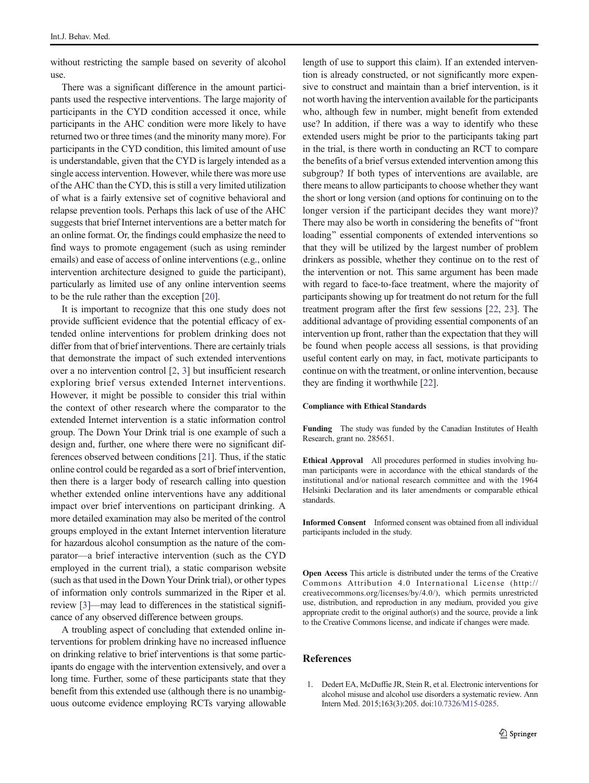<span id="page-6-0"></span>without restricting the sample based on severity of alcohol use.

There was a significant difference in the amount participants used the respective interventions. The large majority of participants in the CYD condition accessed it once, while participants in the AHC condition were more likely to have returned two or three times (and the minority many more). For participants in the CYD condition, this limited amount of use is understandable, given that the CYD is largely intended as a single access intervention. However, while there was more use of the AHC than the CYD, this is still a very limited utilization of what is a fairly extensive set of cognitive behavioral and relapse prevention tools. Perhaps this lack of use of the AHC suggests that brief Internet interventions are a better match for an online format. Or, the findings could emphasize the need to find ways to promote engagement (such as using reminder emails) and ease of access of online interventions (e.g., online intervention architecture designed to guide the participant), particularly as limited use of any online intervention seems to be the rule rather than the exception [\[20](#page-7-0)].

It is important to recognize that this one study does not provide sufficient evidence that the potential efficacy of extended online interventions for problem drinking does not differ from that of brief interventions. There are certainly trials that demonstrate the impact of such extended interventions over a no intervention control [\[2,](#page-7-0) [3](#page-7-0)] but insufficient research exploring brief versus extended Internet interventions. However, it might be possible to consider this trial within the context of other research where the comparator to the extended Internet intervention is a static information control group. The Down Your Drink trial is one example of such a design and, further, one where there were no significant differences observed between conditions [[21\]](#page-7-0). Thus, if the static online control could be regarded as a sort of brief intervention, then there is a larger body of research calling into question whether extended online interventions have any additional impact over brief interventions on participant drinking. A more detailed examination may also be merited of the control groups employed in the extant Internet intervention literature for hazardous alcohol consumption as the nature of the comparator—a brief interactive intervention (such as the CYD employed in the current trial), a static comparison website (such as that used in the Down Your Drink trial), or other types of information only controls summarized in the Riper et al. review [[3](#page-7-0)]—may lead to differences in the statistical significance of any observed difference between groups.

A troubling aspect of concluding that extended online interventions for problem drinking have no increased influence on drinking relative to brief interventions is that some participants do engage with the intervention extensively, and over a long time. Further, some of these participants state that they benefit from this extended use (although there is no unambiguous outcome evidence employing RCTs varying allowable

length of use to support this claim). If an extended intervention is already constructed, or not significantly more expensive to construct and maintain than a brief intervention, is it not worth having the intervention available for the participants who, although few in number, might benefit from extended use? In addition, if there was a way to identify who these extended users might be prior to the participants taking part in the trial, is there worth in conducting an RCT to compare the benefits of a brief versus extended intervention among this subgroup? If both types of interventions are available, are there means to allow participants to choose whether they want the short or long version (and options for continuing on to the longer version if the participant decides they want more)? There may also be worth in considering the benefits of "front" loading" essential components of extended interventions so that they will be utilized by the largest number of problem drinkers as possible, whether they continue on to the rest of the intervention or not. This same argument has been made with regard to face-to-face treatment, where the majority of participants showing up for treatment do not return for the full treatment program after the first few sessions [\[22](#page-7-0), [23\]](#page-7-0). The additional advantage of providing essential components of an intervention up front, rather than the expectation that they will be found when people access all sessions, is that providing useful content early on may, in fact, motivate participants to continue on with the treatment, or online intervention, because they are finding it worthwhile [\[22\]](#page-7-0).

#### Compliance with Ethical Standards

Funding The study was funded by the Canadian Institutes of Health Research, grant no. 285651.

Ethical Approval All procedures performed in studies involving human participants were in accordance with the ethical standards of the institutional and/or national research committee and with the 1964 Helsinki Declaration and its later amendments or comparable ethical standards.

Informed Consent Informed consent was obtained from all individual participants included in the study.

Open Access This article is distributed under the terms of the Creative Commons Attribution 4.0 International License (http:// creativecommons.org/licenses/by/4.0/), which permits unrestricted use, distribution, and reproduction in any medium, provided you give appropriate credit to the original author(s) and the source, provide a link to the Creative Commons license, and indicate if changes were made.

# References

1. Dedert EA, McDuffie JR, Stein R, et al. Electronic interventions for alcohol misuse and alcohol use disorders a systematic review. Ann Intern Med. 2015;163(3):205. doi:[10.7326/M15-0285](http://dx.doi.org/10.7326/M15-0285).